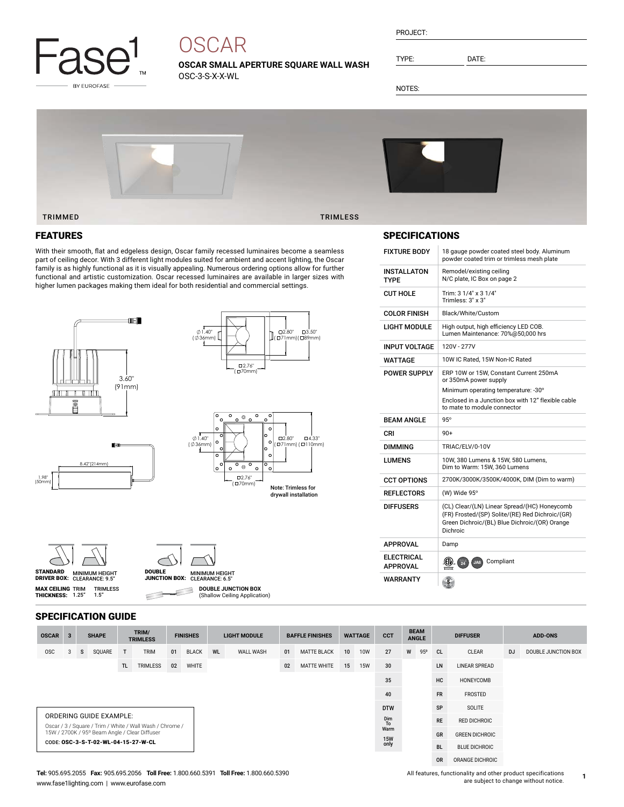

# **OSCAR**

**OSCAR SMALL APERTURE SQUARE WALL WASH** OSC-3-S-X-X-WL

PROJECT:

TYPE: DATE:

NOTES:



### FEATURES

With their smooth, flat and edgeless design, Oscar family recessed luminaires become a seamless part of ceiling decor. With 3 different light modules suited for ambient and accent lighting, the Oscar family is as highly functional as it is visually appealing. Numerous ordering options allow for further functional and artistic customization. Oscar recessed luminaires are available in larger sizes with higher lumen packages making them ideal for both residential and commercial settings.



| STANDARD           | <b>MINIMUM HEIGHT</b> |
|--------------------|-----------------------|
| <b>DRIVER BOX:</b> | CLEARANCE: 9.5"       |
|                    |                       |

**MAX CEILING** TRIM<br>**THICKNESS:** 1.25"



**DOUBLE JUNCTION BOX** ₿ (Shallow Ceiling Application)

SPECIFICATION GUIDE

TRIMLESS 1.5"

| <b>OSCAR</b>                                                                        | $\overline{\mathbf{3}}$ |    | <b>SHAPE</b> |    | TRIM/<br><b>TRIMLESS</b> | <b>FINISHES</b> |              | <b>LIGHT MODULE</b> |                                  | <b>BAFFLE FINISHES</b> |                    | <b>WATTAGE</b>       |                      | <b>CCT</b> | <b>BEAM</b><br><b>ANGLE</b> |     | <b>DIFFUSER</b> |                 | <b>ADD-ONS</b> |                     |
|-------------------------------------------------------------------------------------|-------------------------|----|--------------|----|--------------------------|-----------------|--------------|---------------------|----------------------------------|------------------------|--------------------|----------------------|----------------------|------------|-----------------------------|-----|-----------------|-----------------|----------------|---------------------|
| <b>OSC</b>                                                                          | з                       | s. | SQUARE       | T. | <b>TRIM</b>              | 01              | <b>BLACK</b> | WL                  | <b>WALL WASH</b>                 | 01                     | <b>MATTE BLACK</b> | 10 <sup>1</sup>      | <b>10W</b>           | 27         | W                           | 95° | <sub>CL</sub>   | CLEAR           | <b>DJ</b>      | DOUBLE JUNCTION BOX |
| TL.<br>TRIMLESS<br>WHITE<br>02                                                      |                         |    |              |    | <b>MATTE WHITE</b><br>02 |                 |              | 15<br><b>15W</b>    | 30                               |                        |                    | LN                   | <b>LINEAR SPREAD</b> |            |                             |     |                 |                 |                |                     |
|                                                                                     | 35                      |    |              |    |                          |                 |              |                     |                                  | HC                     | HONEYCOMB          |                      |                      |            |                             |     |                 |                 |                |                     |
|                                                                                     | 40                      |    |              |    |                          |                 |              |                     |                                  |                        | <b>FR</b>          | FROSTED              |                      |            |                             |     |                 |                 |                |                     |
| <b>DTW</b>                                                                          |                         |    |              |    |                          |                 |              |                     |                                  |                        | SP                 | SOLITE               |                      |            |                             |     |                 |                 |                |                     |
| ORDERING GUIDE EXAMPLE:<br>Oscar / 3 / Square / Trim / White / Wall Wash / Chrome / |                         |    |              |    |                          |                 |              | Dim<br>To           | <b>RE</b><br><b>RED DICHROIC</b> |                        |                    |                      |                      |            |                             |     |                 |                 |                |                     |
| Warm<br>15W / 2700K / 95° Beam Angle / Clear Diffuser<br><b>15W</b>                 |                         |    |              |    |                          |                 |              |                     | <b>GREEN DICHROIC</b><br>GR      |                        |                    |                      |                      |            |                             |     |                 |                 |                |                     |
| CODE: OSC-3-S-T-02-WL-04-15-27-W-CL                                                 |                         |    |              |    |                          |                 |              | only                |                                  |                        |                    | <b>BLUE DICHROIC</b> |                      |            |                             |     |                 |                 |                |                     |
|                                                                                     |                         |    |              |    |                          |                 |              |                     |                                  |                        |                    |                      |                      |            |                             |     | <b>OR</b>       | ORANGE DICHROIC |                |                     |

### SPECIFICATIONS

| <b>FIXTURE BODY</b>                  | 18 gauge powder coated steel body. Aluminum<br>powder coated trim or trimless mesh plate                                                                     |
|--------------------------------------|--------------------------------------------------------------------------------------------------------------------------------------------------------------|
| INSTALLATON<br><b>TYPF</b>           | Remodel/existing ceiling<br>N/C plate, IC Box on page 2                                                                                                      |
| <b>CUT HOLE</b>                      | Trim: 3 1/4" x 3 1/4"<br>Trimless: 3" x 3"                                                                                                                   |
| <b>COLOR FINISH</b>                  | Black/White/Custom                                                                                                                                           |
| LIGHT MODULE                         | High output, high efficiency LED COB.<br>Lumen Maintenance: 70%@50,000 hrs                                                                                   |
| <b>INPUT VOLTAGE</b>                 | 120V - 277V                                                                                                                                                  |
| WATTAGE                              | 10W IC Rated, 15W Non-IC Rated                                                                                                                               |
| <b>POWER SUPPLY</b>                  | ERP 10W or 15W, Constant Current 250mA<br>or 350mA power supply                                                                                              |
|                                      | Minimum operating temperature: -30°                                                                                                                          |
|                                      | Enclosed in a Junction box with 12" flexible cable<br>to mate to module connector                                                                            |
| <b>BEAM ANGLE</b>                    | $95^\circ$                                                                                                                                                   |
| CRI                                  | $90+$                                                                                                                                                        |
| <b>DIMMING</b>                       | TRIAC/ELV/0-10V                                                                                                                                              |
| LUMENS                               | 10W, 380 Lumens & 15W, 580 Lumens,<br>Dim to Warm: 15W, 360 Lumens                                                                                           |
| <b>CCT OPTIONS</b>                   | 2700K/3000K/3500K/4000K, DIM (Dim to warm)                                                                                                                   |
| <b>REFLECTORS</b>                    | (W) Wide 95°                                                                                                                                                 |
| <b>DIFFUSERS</b>                     | (CL) Clear/(LN) Linear Spread/(HC) Honeycomb<br>(FR) Frosted/(SP) Solite/(RE) Red Dichroic/(GR)<br>Green Dichroic/(BL) Blue Dichroic/(OR) Orange<br>Dichroic |
| <b>APPROVAL</b>                      | Damp                                                                                                                                                         |
| <b>ELECTRICAL</b><br><b>APPROVAL</b> | Compliant<br><b>TITLE</b><br>(( )。<br>JAB                                                                                                                    |
| WARRANTY                             |                                                                                                                                                              |

 $\subset$ 

**1**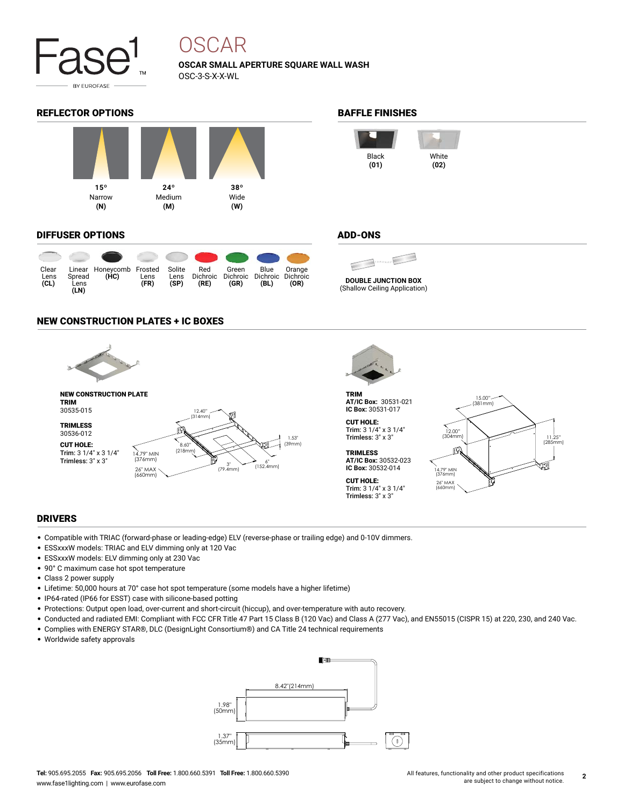

## OSCAR

**OSCAR SMALL APERTURE SQUARE WALL WASH** OSC-3-S-X-X-WL

#### REFLECTOR OPTIONS **BAFFLE FINISHES**



#### DIFFUSER OPTIONS

|                      |                        |                                  |              |                        |             | $\bullet$ $\bullet$ $\bullet$ $\bullet$ |                                   |                |
|----------------------|------------------------|----------------------------------|--------------|------------------------|-------------|-----------------------------------------|-----------------------------------|----------------|
| Clear<br>Lens<br>CL) | Spread<br>Lens<br>(LN) | Linear Honeycomb Frosted<br>(HC) | Lens<br>(FR) | Solite<br>Lens<br>(SP) | Red<br>(RE) | Green<br>Dichroic Dichroic<br>(GR)      | Blue<br>Dichroic Dichroic<br>(BL) | Orange<br>(OR) |

#### NEW CONSTRUCTION PLATES + IC BOXES





**DOUBLE JUNCTION BOX** (Shallow Ceiling Application)

TRIM **AT/IC Box:** 30531-021 **IC Box:** 30531-017

```
CUT HOLE:
Trim: 3 1/4" x 3 1/4"
Trimless: 3" x 3"
```
**TRIMLESS AT/IC Box:** 30532-023 **IC Box:** 30532-014 CUT HOLE:

Trim: 3 1/4" x 3 1/4" Trimless: 3" x 3"

15.00" (381mm) 12.00" (304mm) 11.25" (285mm) пJ 14.79" MIN (376mm) 26" MAX (660mm)

#### DRIVERS

- Compatible with TRIAC (forward-phase or leading-edge) ELV (reverse-phase or trailing edge) and 0-10V dimmers.
- ESSxxxW models: TRIAC and ELV dimming only at 120 Vac
- ESSxxxW models: ELV dimming only at 230 Vac
- 90° C maximum case hot spot temperature
- Class 2 power supply
- Lifetime: 50,000 hours at 70° case hot spot temperature (some models have a higher lifetime)
- IP64-rated (IP66 for ESST) case with silicone-based potting
- Protections: Output open load, over-current and short-circuit (hiccup), and over-temperature with auto recovery.
- Conducted and radiated EMI: Compliant with FCC CFR Title 47 Part 15 Class B (120 Vac) and Class A (277 Vac), and EN55015 (CISPR 15) at 220, 230, and 240 Vac.
- Complies with ENERGY STAR®, DLC (DesignLight Consortium®) and CA Title 24 technical requirements
- Worldwide safety approvals





#### ADD-ONS